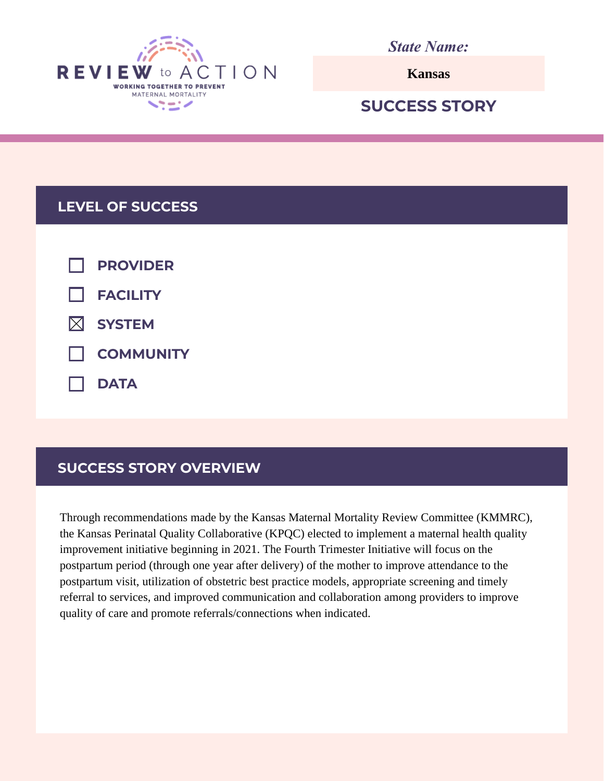

*State Name:*

**Kansas**

# **SUCCESS STORY**

## **LEVEL OF SUCCESS**

| $\Box$ PROVIDER    |
|--------------------|
| $\Box$ FACILITY    |
| $\boxtimes$ SYSTEM |
| COMMUNITY          |
| $\Box$ DATA        |

# **SUCCESS STORY OVERVIEW**

Through recommendations made by the Kansas Maternal Mortality Review Committee (KMMRC), the Kansas Perinatal Quality Collaborative (KPQC) elected to implement a maternal health quality improvement initiative beginning in 2021. The Fourth Trimester Initiative will focus on the postpartum period (through one year after delivery) of the mother to improve attendance to the postpartum visit, utilization of obstetric best practice models, appropriate screening and timely referral to services, and improved communication and collaboration among providers to improve quality of care and promote referrals/connections when indicated.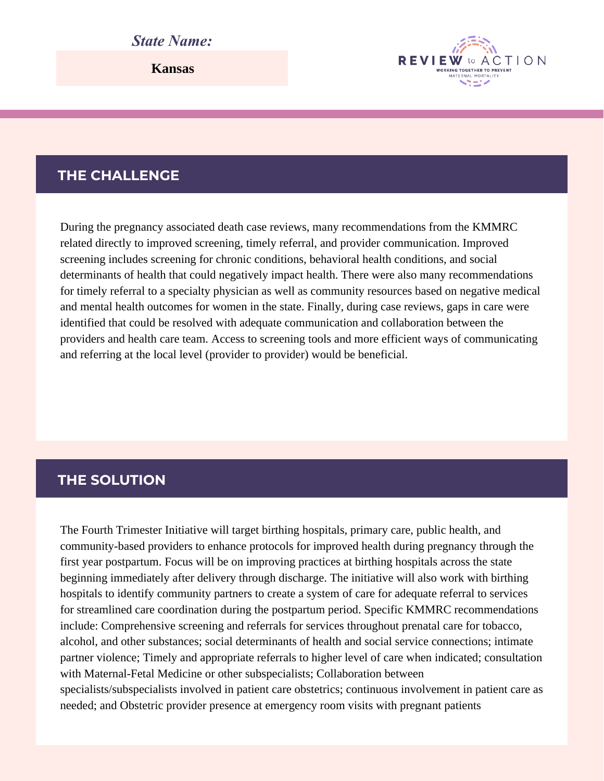## *State Name:*

**Kansas**

#### **THE CHALLENGE**

During the pregnancy associated death case reviews, many recommendations from the KMMRC related directly to improved screening, timely referral, and provider communication. Improved screening includes screening for chronic conditions, behavioral health conditions, and social determinants of health that could negatively impact health. There were also many recommendations for timely referral to a specialty physician as well as community resources based on negative medical and mental health outcomes for women in the state. Finally, during case reviews, gaps in care were identified that could be resolved with adequate communication and collaboration between the providers and health care team. Access to screening tools and more efficient ways of communicating and referring at the local level (provider to provider) would be beneficial.

**REVIEW** 

WORKING TOGETHER TO PREVEN

ACTION

#### **THE SOLUTION**

The Fourth Trimester Initiative will target birthing hospitals, primary care, public health, and community-based providers to enhance protocols for improved health during pregnancy through the first year postpartum. Focus will be on improving practices at birthing hospitals across the state beginning immediately after delivery through discharge. The initiative will also work with birthing hospitals to identify community partners to create a system of care for adequate referral to services for streamlined care coordination during the postpartum period. Specific KMMRC recommendations include: Comprehensive screening and referrals for services throughout prenatal care for tobacco, alcohol, and other substances; social determinants of health and social service connections; intimate partner violence; Timely and appropriate referrals to higher level of care when indicated; consultation with Maternal-Fetal Medicine or other subspecialists; Collaboration between specialists/subspecialists involved in patient care obstetrics; continuous involvement in patient care as needed; and Obstetric provider presence at emergency room visits with pregnant patients